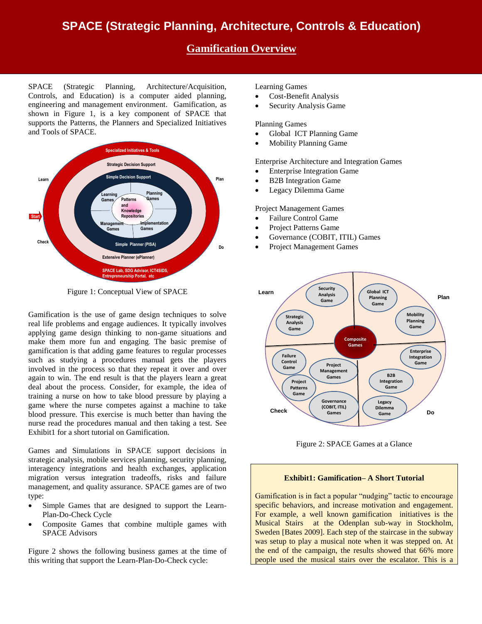# **SPACE (Strategic Planning, Architecture, Controls & Education)**

## **Gamification Overview**

SPACE (Strategic Planning, Architecture/Acquisition, Controls, and Education) is a computer aided planning, engineering and management environment. Gamification, as shown in Figure 1, is a key component of SPACE that supports the Patterns, the Planners and Specialized Initiatives and Tools of SPACE.



Figure 1: Conceptual View of SPACE

Gamification is the use of game design techniques to solve real life problems and engage audiences. It typically involves applying game design thinking to non-game situations and make them more fun and engaging. The basic premise of gamification is that adding game features to regular processes such as studying a procedures manual gets the players involved in the process so that they repeat it over and over again to win. The end result is that the players learn a great deal about the process. Consider, for example, the idea of training a nurse on how to take blood pressure by playing a game where the nurse competes against a machine to take blood pressure. This exercise is much better than having the nurse read the procedures manual and then taking a test. See Exhibit1 for a short tutorial on Gamification.

Games and Simulations in SPACE support decisions in strategic analysis, mobile services planning, security planning, interagency integrations and health exchanges, application migration versus integration tradeoffs, risks and failure management, and quality assurance. SPACE games are of two type:

- Simple Games that are designed to support the Learn-Plan-Do-Check Cycle
- Composite Games that combine multiple games with SPACE Advisors

Figure 2 shows the following business games at the time of this writing that support the Learn-Plan-Do-Check cycle:

### Learning Games

- Cost-Benefit Analysis
- Security Analysis Game

### Planning Games

- Global ICT Planning Game
- Mobility Planning Game

Enterprise Architecture and Integration Games

- Enterprise Integration Game
- B2B Integration Game
- Legacy Dilemma Game

Project Management Games

- Failure Control Game
- Project Patterns Game
- Governance (COBIT, ITIL) Games
- Project Management Games



Figure 2: SPACE Games at a Glance

#### **Exhibit1: Gamification– A Short Tutorial**

Gamification is in fact a popular "nudging" tactic to encourage specific behaviors, and increase motivation and engagement. For example, a well known gamification initiatives is the Musical Stairs at the Odenplan sub-way in Stockholm, Sweden [Bates 2009]. Each step of the staircase in the subway was setup to play a musical note when it was stepped on. At the end of the campaign, the results showed that 66% more people used the musical stairs over the escalator. This is a